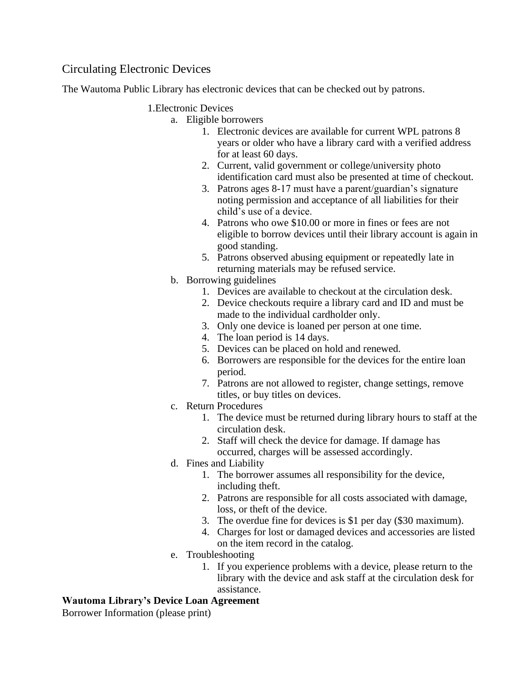# Circulating Electronic Devices

The Wautoma Public Library has electronic devices that can be checked out by patrons.

### 1.Electronic Devices

- a. Eligible borrowers
	- 1. Electronic devices are available for current WPL patrons 8 years or older who have a library card with a verified address for at least 60 days.
	- 2. Current, valid government or college/university photo identification card must also be presented at time of checkout.
	- 3. Patrons ages 8-17 must have a parent/guardian's signature noting permission and acceptance of all liabilities for their child's use of a device.
	- 4. Patrons who owe \$10.00 or more in fines or fees are not eligible to borrow devices until their library account is again in good standing.
	- 5. Patrons observed abusing equipment or repeatedly late in returning materials may be refused service.
- b. Borrowing guidelines
	- 1. Devices are available to checkout at the circulation desk.
	- 2. Device checkouts require a library card and ID and must be made to the individual cardholder only.
	- 3. Only one device is loaned per person at one time.
	- 4. The loan period is 14 days.
	- 5. Devices can be placed on hold and renewed.
	- 6. Borrowers are responsible for the devices for the entire loan period.
	- 7. Patrons are not allowed to register, change settings, remove titles, or buy titles on devices.
- c. Return Procedures
	- 1. The device must be returned during library hours to staff at the circulation desk.
	- 2. Staff will check the device for damage. If damage has occurred, charges will be assessed accordingly.
- d. Fines and Liability
	- 1. The borrower assumes all responsibility for the device, including theft.
	- 2. Patrons are responsible for all costs associated with damage, loss, or theft of the device.
	- 3. The overdue fine for devices is \$1 per day (\$30 maximum).
	- 4. Charges for lost or damaged devices and accessories are listed on the item record in the catalog.
- e. Troubleshooting
	- 1. If you experience problems with a device, please return to the library with the device and ask staff at the circulation desk for assistance.

## **Wautoma Library's Device Loan Agreement**

Borrower Information (please print)